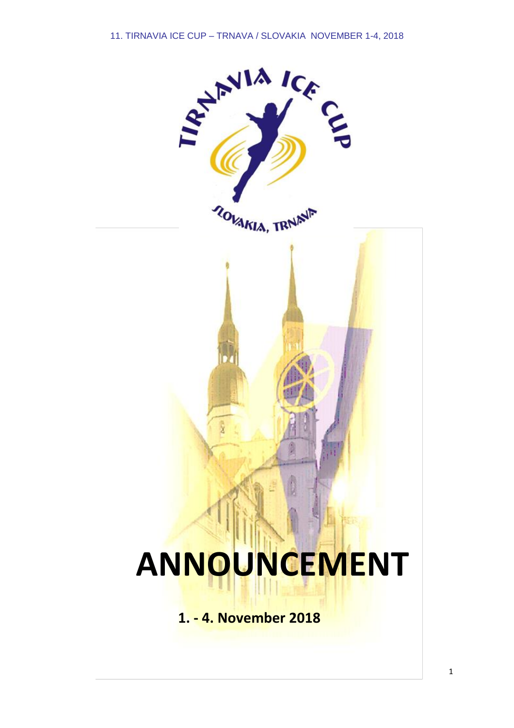

# **ANNOUNCEMENT**

**1. - 4. November 2018**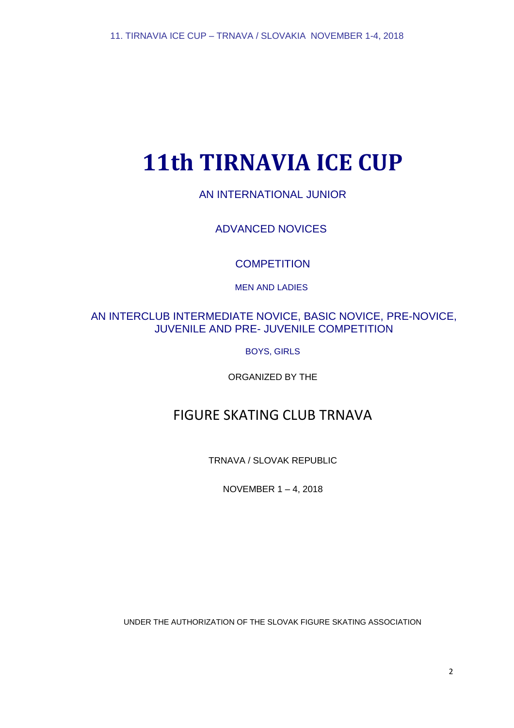# **11th TIRNAVIA ICE CUP**

AN INTERNATIONAL JUNIOR

ADVANCED NOVICES

**COMPETITION** 

MEN AND LADIES

# AN INTERCLUB INTERMEDIATE NOVICE, BASIC NOVICE, PRE-NOVICE, JUVENILE AND PRE- JUVENILE COMPETITION

BOYS, GIRLS

ORGANIZED BY THE

# FIGURE SKATING CLUB TRNAVA

TRNAVA / SLOVAK REPUBLIC

NOVEMBER 1 – 4, 2018

UNDER THE AUTHORIZATION OF THE SLOVAK FIGURE SKATING ASSOCIATION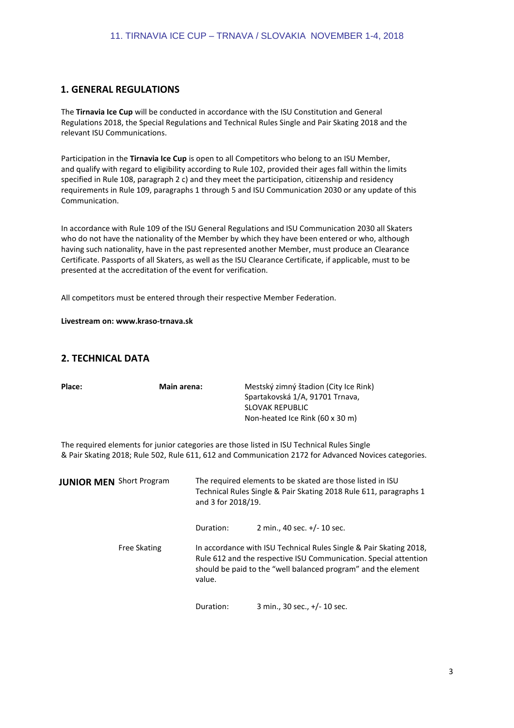# **1. GENERAL REGULATIONS**

The **Tirnavia Ice Cup** will be conducted in accordance with the ISU Constitution and General Regulations 2018, the Special Regulations and Technical Rules Single and Pair Skating 2018 and the relevant ISU Communications.

Participation in the **Tirnavia Ice Cup** is open to all Competitors who belong to an ISU Member, and qualify with regard to eligibility according to Rule 102, provided their ages fall within the limits specified in Rule 108, paragraph 2 c) and they meet the participation, citizenship and residency requirements in Rule 109, paragraphs 1 through 5 and ISU Communication 2030 or any update of this Communication.

In accordance with Rule 109 of the ISU General Regulations and ISU Communication 2030 all Skaters who do not have the nationality of the Member by which they have been entered or who, although having such nationality, have in the past represented another Member, must produce an Clearance Certificate. Passports of all Skaters, as well as the ISU Clearance Certificate, if applicable, must to be presented at the accreditation of the event for verification.

All competitors must be entered through their respective Member Federation.

**Livestream on: www.kraso-trnava.sk**

# **2. TECHNICAL DATA**

| Place:                          | <b>Main arena:</b>  |                                                                                                                                                       | Mestský zimný štadion (City Ice Rink)<br>Spartakovská 1/A, 91701 Trnava,<br><b>SLOVAK REPUBLIC</b><br>Non-heated Ice Rink (60 x 30 m)                                                                   |
|---------------------------------|---------------------|-------------------------------------------------------------------------------------------------------------------------------------------------------|---------------------------------------------------------------------------------------------------------------------------------------------------------------------------------------------------------|
|                                 |                     |                                                                                                                                                       | The required elements for junior categories are those listed in ISU Technical Rules Single<br>& Pair Skating 2018; Rule 502, Rule 611, 612 and Communication 2172 for Advanced Novices categories.      |
| <b>JUNIOR MEN</b> Short Program |                     | The required elements to be skated are those listed in ISU<br>Technical Rules Single & Pair Skating 2018 Rule 611, paragraphs 1<br>and 3 for 2018/19. |                                                                                                                                                                                                         |
|                                 |                     | Duration:                                                                                                                                             | 2 min., 40 sec. +/- 10 sec.                                                                                                                                                                             |
|                                 | <b>Free Skating</b> | value.                                                                                                                                                | In accordance with ISU Technical Rules Single & Pair Skating 2018,<br>Rule 612 and the respective ISU Communication. Special attention<br>should be paid to the "well balanced program" and the element |

Duration: 3 min., 30 sec., +/- 10 sec.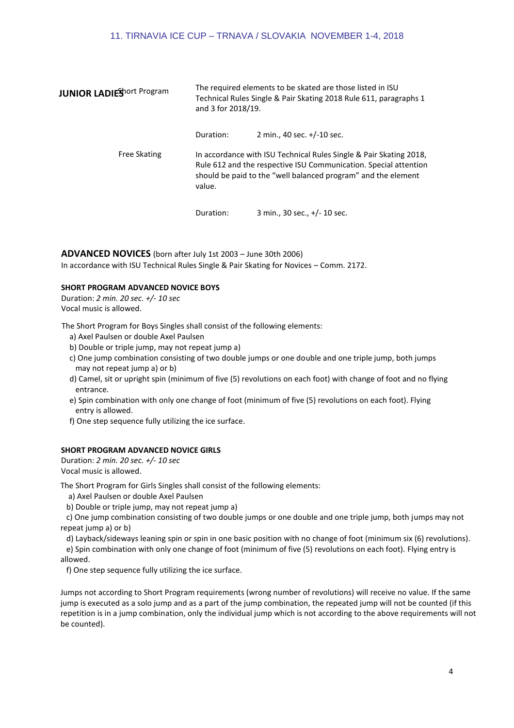#### 11. TIRNAVIA ICE CUP – TRNAVA / SLOVAKIA NOVEMBER 1-4, 2018

| <b>JUNIOR LADIES</b> ort Program | The required elements to be skated are those listed in ISU<br>Technical Rules Single & Pair Skating 2018 Rule 611, paragraphs 1<br>and 3 for 2018/19. |                                                                                                                                                                                                         |
|----------------------------------|-------------------------------------------------------------------------------------------------------------------------------------------------------|---------------------------------------------------------------------------------------------------------------------------------------------------------------------------------------------------------|
|                                  | Duration:                                                                                                                                             | 2 min., 40 sec. +/-10 sec.                                                                                                                                                                              |
| <b>Free Skating</b>              | value.                                                                                                                                                | In accordance with ISU Technical Rules Single & Pair Skating 2018,<br>Rule 612 and the respective ISU Communication. Special attention<br>should be paid to the "well balanced program" and the element |
|                                  | Duration:                                                                                                                                             | 3 min., 30 sec., +/- 10 sec.                                                                                                                                                                            |

# **ADVANCED NOVICES** (born after July 1st 2003 – June 30th 2006)

In accordance with ISU Technical Rules Single & Pair Skating for Novices – Comm. 2172.

#### **SHORT PROGRAM ADVANCED NOVICE BOYS**

Duration: *2 min. 20 sec. +/- 10 sec* Vocal music is allowed.

The Short Program for Boys Singles shall consist of the following elements:

- a) Axel Paulsen or double Axel Paulsen
- b) Double or triple jump, may not repeat jump a)
- c) One jump combination consisting of two double jumps or one double and one triple jump, both jumps may not repeat jump a) or b)
- d) Camel, sit or upright spin (minimum of five (5) revolutions on each foot) with change of foot and no flying entrance.
- e) Spin combination with only one change of foot (minimum of five (5) revolutions on each foot). Flying entry is allowed.
- f) One step sequence fully utilizing the ice surface.

#### **SHORT PROGRAM ADVANCED NOVICE GIRLS**

Duration: *2 min. 20 sec. +/- 10 sec* Vocal music is allowed.

The Short Program for Girls Singles shall consist of the following elements:

a) Axel Paulsen or double Axel Paulsen

b) Double or triple jump, may not repeat jump a)

c) One jump combination consisting of two double jumps or one double and one triple jump, both jumps may not repeat jump a) or b)

d) Layback/sideways leaning spin or spin in one basic position with no change of foot (minimum six (6) revolutions).

e) Spin combination with only one change of foot (minimum of five (5) revolutions on each foot). Flying entry is allowed.

f) One step sequence fully utilizing the ice surface.

Jumps not according to Short Program requirements (wrong number of revolutions) will receive no value. If the same jump is executed as a solo jump and as a part of the jump combination, the repeated jump will not be counted (if this repetition is in a jump combination, only the individual jump which is not according to the above requirements will not be counted).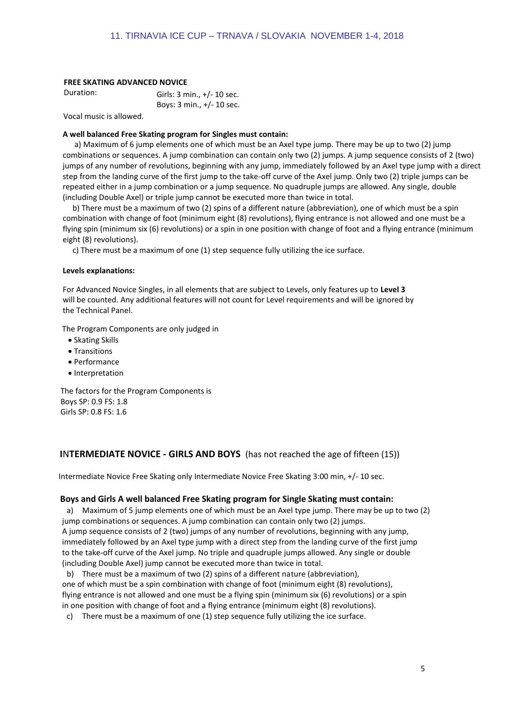#### **FREE SKATING ADVANCED NOVICE**

| Duration: | Girls: $3 \text{ min.}$ , $+/- 10 \text{ sec.}$ |
|-----------|-------------------------------------------------|
|           | Boys: $3 \text{ min.}$ , $+/- 10 \text{ sec.}$  |

Vocal music is allowed.

#### **A well balanced Free Skating program for Singles must contain:**

a) Maximum of 6 jump elements one of which must be an Axel type jump. There may be up to two (2) jump combinations or sequences. A jump combination can contain only two (2) jumps. A jump sequence consists of 2 (two) jumps of any number of revolutions, beginning with any jump, immediately followed by an Axel type jump with a direct step from the landing curve of the first jump to the take-off curve of the Axel jump. Only two (2) triple jumps can be repeated either in a jump combination or a jump sequence. No quadruple jumps are allowed. Any single, double (including Double Axel) or triple jump cannot be executed more than twice in total.

b) There must be a maximum of two (2) spins of a different nature (abbreviation), one of which must be a spin combination with change of foot (minimum eight (8) revolutions), flying entrance is not allowed and one must be a flying spin (minimum six (6) revolutions) or a spin in one position with change of foot and a flying entrance (minimum eight (8) revolutions).

c) There must be a maximum of one (1) step sequence fully utilizing the ice surface.

#### **Levels explanations:**

For Advanced Novice Singles, in all elements that are subject to Levels, only features up to **Level 3** will be counted. Any additional features will not count for Level requirements and will be ignored by the Technical Panel.

The Program Components are only judged in

- Skating Skills
- Transitions
- Performance
- Interpretation

The factors for the Program Components is Boys SP: 0.9 FS: 1.8 Girls SP: 0.8 FS: 1.6

# **I**N**TERMEDIATE NOVICE - GIRLS AND BOYS** (has not reached the age of fifteen (15))

Intermediate Novice Free Skating only Intermediate Novice Free Skating 3:00 min, +/- 10 sec.

#### **Boys and Girls A well balanced Free Skating program for Single Skating must contain:**

a) Maximum of 5 jump elements one of which must be an Axel type jump. There may be up to two (2) jump combinations or sequences. A jump combination can contain only two (2) jumps. A jump sequence consists of 2 (two) jumps of any number of revolutions, beginning with any jump, immediately followed by an Axel type jump with a direct step from the landing curve of the first jump to the take-off curve of the Axel jump. No triple and quadruple jumps allowed. Any single or double (including Double Axel) jump cannot be executed more than twice in total.

b) There must be a maximum of two (2) spins of a different nature (abbreviation), one of which must be a spin combination with change of foot (minimum eight (8) revolutions), flying entrance is not allowed and one must be a flying spin (minimum six (6) revolutions) or a spin in one position with change of foot and a flying entrance (minimum eight (8) revolutions).

c) There must be a maximum of one (1) step sequence fully utilizing the ice surface.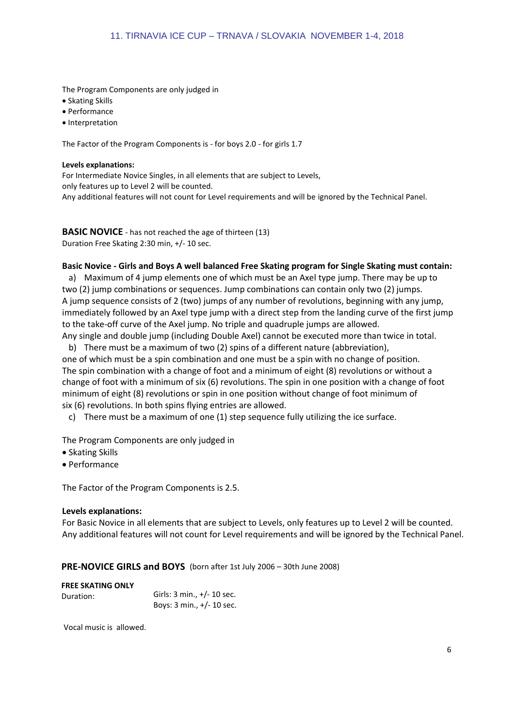The Program Components are only judged in

- Skating Skills
- Performance
- Interpretation

The Factor of the Program Components is - for boys 2.0 - for girls 1.7

#### **Levels explanations:**

For Intermediate Novice Singles, in all elements that are subject to Levels, only features up to Level 2 will be counted. Any additional features will not count for Level requirements and will be ignored by the Technical Panel.

**BASIC NOVICE** - has not reached the age of thirteen (13) Duration Free Skating 2:30 min, +/- 10 sec.

# **Basic Novice - Girls and Boys A well balanced Free Skating program for Single Skating must contain:**

a) Maximum of 4 jump elements one of which must be an Axel type jump. There may be up to two (2) jump combinations or sequences. Jump combinations can contain only two (2) jumps. A jump sequence consists of 2 (two) jumps of any number of revolutions, beginning with any jump, immediately followed by an Axel type jump with a direct step from the landing curve of the first jump to the take-off curve of the Axel jump. No triple and quadruple jumps are allowed.

Any single and double jump (including Double Axel) cannot be executed more than twice in total. b) There must be a maximum of two (2) spins of a different nature (abbreviation),

one of which must be a spin combination and one must be a spin with no change of position. The spin combination with a change of foot and a minimum of eight (8) revolutions or without a change of foot with a minimum of six (6) revolutions. The spin in one position with a change of foot minimum of eight (8) revolutions or spin in one position without change of foot minimum of six (6) revolutions. In both spins flying entries are allowed.

c) There must be a maximum of one (1) step sequence fully utilizing the ice surface.

The Program Components are only judged in

- Skating Skills
- Performance

The Factor of the Program Components is 2.5.

# **Levels explanations:**

For Basic Novice in all elements that are subject to Levels, only features up to Level 2 will be counted. Any additional features will not count for Level requirements and will be ignored by the Technical Panel.

# **PRE-NOVICE GIRLS and BOYS** (born after 1st July 2006 – 30th June 2008)

# **FREE SKATING ONLY**

| Duration: | Girls: $3 \text{ min.}$ , $+/- 10 \text{ sec.}$ |
|-----------|-------------------------------------------------|
|           | Boys: $3 \text{ min.}$ , $+/- 10 \text{ sec.}$  |

Vocal music is allowed.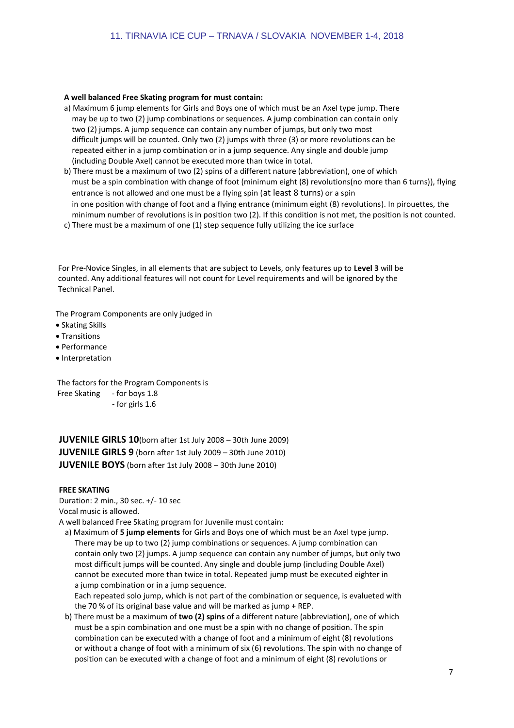#### **A well balanced Free Skating program for must contain:**

- a) Maximum 6 jump elements for Girls and Boys one of which must be an Axel type jump. There may be up to two (2) jump combinations or sequences. A jump combination can contain only two (2) jumps. A jump sequence can contain any number of jumps, but only two most difficult jumps will be counted. Only two (2) jumps with three (3) or more revolutions can be repeated either in a jump combination or in a jump sequence. Any single and double jump (including Double Axel) cannot be executed more than twice in total.
- b) There must be a maximum of two (2) spins of a different nature (abbreviation), one of which must be a spin combination with change of foot (minimum eight (8) revolutions(no more than 6 turns)), flying entrance is not allowed and one must be a flying spin (at least 8 turns) or a spin in one position with change of foot and a flying entrance (minimum eight (8) revolutions). In pirouettes, the minimum number of revolutions is in position two (2). If this condition is not met, the position is not counted.
- c) There must be a maximum of one (1) step sequence fully utilizing the ice surface

For Pre-Novice Singles, in all elements that are subject to Levels, only features up to **Level 3** will be counted. Any additional features will not count for Level requirements and will be ignored by the Technical Panel.

The Program Components are only judged in

- Skating Skills
- Transitions
- Performance
- Interpretation

The factors for the Program Components is Free Skating - for boys 1.8 - for girls 1.6

**JUVENILE GIRLS 10**(born after 1st July 2008 – 30th June 2009) **JUVENILE GIRLS 9** (born after 1st July 2009 – 30th June 2010) **JUVENILE BOYS** (born after 1st July 2008 – 30th June 2010)

#### **FREE SKATING**

Duration: 2 min., 30 sec. +/- 10 sec Vocal music is allowed.

A well balanced Free Skating program for Juvenile must contain:

 a) Maximum of **5 jump elements** for Girls and Boys one of which must be an Axel type jump. There may be up to two (2) jump combinations or sequences. A jump combination can contain only two (2) jumps. A jump sequence can contain any number of jumps, but only two most difficult jumps will be counted. Any single and double jump (including Double Axel) cannot be executed more than twice in total. Repeated jump must be executed eighter in a jump combination or in a jump sequence.

 Each repeated solo jump, which is not part of the combination or sequence, is evalueted with the 70 % of its original base value and will be marked as jump + REP.

 b) There must be a maximum of **two (2) spins** of a different nature (abbreviation), one of which must be a spin combination and one must be a spin with no change of position. The spin combination can be executed with a change of foot and a minimum of eight (8) revolutions or without a change of foot with a minimum of six (6) revolutions. The spin with no change of position can be executed with a change of foot and a minimum of eight (8) revolutions or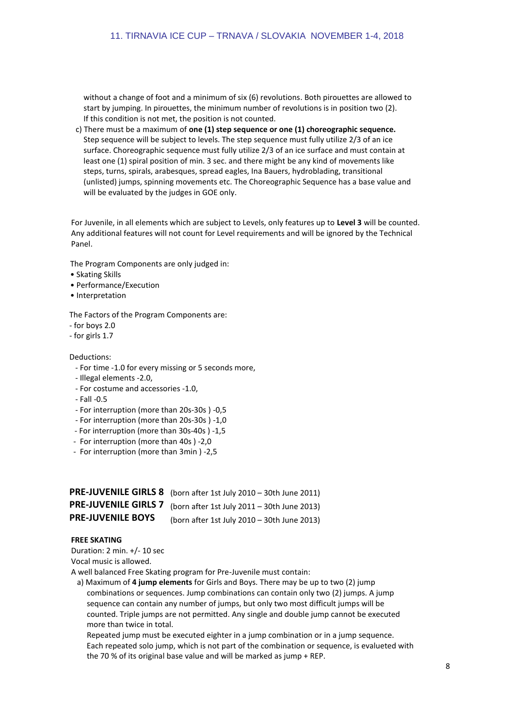without a change of foot and a minimum of six (6) revolutions. Both pirouettes are allowed to start by jumping. In pirouettes, the minimum number of revolutions is in position two (2). If this condition is not met, the position is not counted.

 c) There must be a maximum of **one (1) step sequence or one (1) choreographic sequence.** Step sequence will be subject to levels. The step sequence must fully utilize 2/3 of an ice surface. Choreographic sequence must fully utilize 2/3 of an ice surface and must contain at least one (1) spiral position of min. 3 sec. and there might be any kind of movements like steps, turns, spirals, arabesques, spread eagles, Ina Bauers, hydroblading, transitional (unlisted) jumps, spinning movements etc. The Choreographic Sequence has a base value and will be evaluated by the judges in GOE only.

For Juvenile, in all elements which are subject to Levels, only features up to **Level 3** will be counted. Any additional features will not count for Level requirements and will be ignored by the Technical Panel.

The Program Components are only judged in:

- Skating Skills
- Performance/Execution
- Interpretation

The Factors of the Program Components are:

- for boys 2.0
- for girls 1.7

#### Deductions:

- For time -1.0 for every missing or 5 seconds more,
- Illegal elements -2.0,
- For costume and accessories -1.0,
- Fall -0.5
- For interruption (more than 20s-30s ) -0,5
- For interruption (more than 20s-30s ) -1,0
- For interruption (more than 30s-40s ) -1,5
- For interruption (more than 40s ) -2,0
- For interruption (more than 3min ) -2,5

|                          | PRE-JUVENILE GIRLS 8 (born after 1st July 2010 - 30th June 2011) |
|--------------------------|------------------------------------------------------------------|
|                          | PRE-JUVENILE GIRLS 7 (born after 1st July 2011 - 30th June 2013) |
| <b>PRE-JUVENILE BOYS</b> | (born after 1st July 2010 - 30th June 2013)                      |

#### **FREE SKATING**

Duration: 2 min. +/- 10 sec

Vocal music is allowed.

A well balanced Free Skating program for Pre-Juvenile must contain:

 a) Maximum of **4 jump elements** for Girls and Boys. There may be up to two (2) jump combinations or sequences. Jump combinations can contain only two (2) jumps. A jump sequence can contain any number of jumps, but only two most difficult jumps will be counted. Triple jumps are not permitted. Any single and double jump cannot be executed more than twice in total.

 Repeated jump must be executed eighter in a jump combination or in a jump sequence. Each repeated solo jump, which is not part of the combination or sequence, is evalueted with the 70 % of its original base value and will be marked as jump + REP.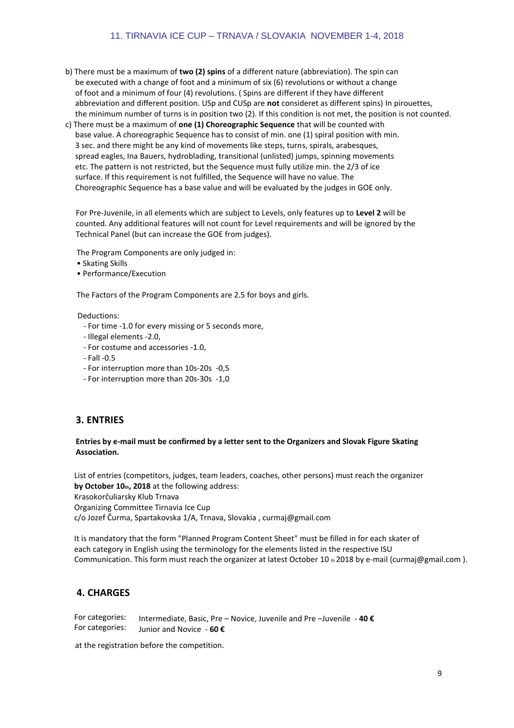#### 11. TIRNAVIA ICE CUP – TRNAVA / SLOVAKIA NOVEMBER 1-4, 2018

- b) There must be a maximum of **two (2) spins** of a different nature (abbreviation). The spin can be executed with a change of foot and a minimum of six (6) revolutions or without a change of foot and a minimum of four (4) revolutions. ( Spins are different if they have different abbreviation and different position. USp and CUSp are **not** consideret as different spins) In pirouettes, the minimum number of turns is in position two (2). If this condition is not met, the position is not counted.
- c) There must be a maximum of **one (1) Choreographic Sequence** that will be counted with base value. A choreographic Sequence has to consist of min. one (1) spiral position with min. 3 sec. and there might be any kind of movements like steps, turns, spirals, arabesques, spread eagles, Ina Bauers, hydroblading, transitional (unlisted) jumps, spinning movements etc. The pattern is not restricted, but the Sequence must fully utilize min. the 2/3 of ice surface. If this requirement is not fulfilled, the Sequence will have no value. The Choreographic Sequence has a base value and will be evaluated by the judges in GOE only.

For Pre-Juvenile, in all elements which are subject to Levels, only features up to **Level 2** will be counted. Any additional features will not count for Level requirements and will be ignored by the Technical Panel (but can increase the GOE from judges).

The Program Components are only judged in:

- Skating Skills
- Performance/Execution

The Factors of the Program Components are 2.5 for boys and girls.

Deductions:

- For time -1.0 for every missing or 5 seconds more,
- Illegal elements -2.0,
- For costume and accessories -1.0,
- Fall -0.5
- For interruption more than 10s-20s -0,5
- For interruption more than 20s-30s -1,0

#### **3. ENTRIES**

#### **Entries by e-mail must be confirmed by a letter sent to the Organizers and Slovak Figure Skating Association.**

List of entries (competitors, judges, team leaders, coaches, other persons) must reach the organizer **by October 10th, 2018** at the following address: Krasokorčuliarsky Klub Trnava Organizing Committee Tirnavia Ice Cup c/o Jozef Čurma, Spartakovska 1/A, Trnava, Slovakia , curmaj@gmail.com

It is mandatory that the form "Planned Program Content Sheet" must be filled in for each skater of each category in English using the terminology for the elements listed in the respective ISU Communication. This form must reach the organizer at latest October 10 th 2018 by e-mail (curmaj@gmail.com ).

# **4. CHARGES**

For categories: For categories: Intermediate, Basic, Pre – Novice, Juvenile and Pre –Juvenile - **40 €** Junior and Novice - **60 €**

at the registration before the competition.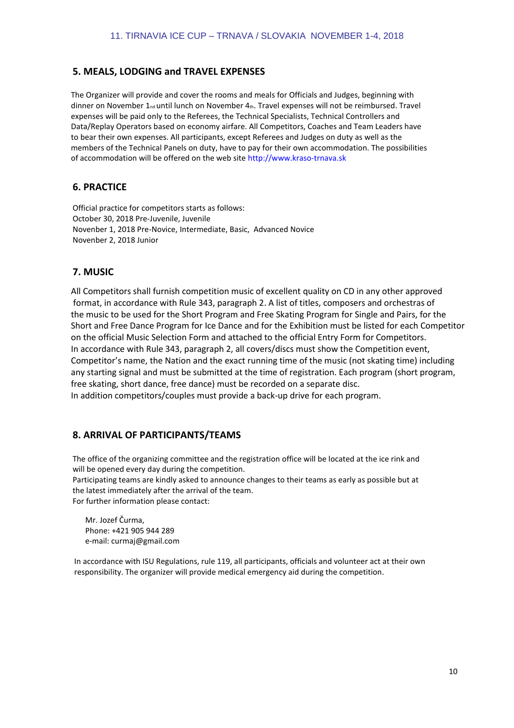# **5. MEALS, LODGING and TRAVEL EXPENSES**

The Organizer will provide and cover the rooms and meals for Officials and Judges, beginning with dinner on November 1<sub>nd</sub> until lunch on November 4th. Travel expenses will not be reimbursed. Travel expenses will be paid only to the Referees, the Technical Specialists, Technical Controllers and Data/Replay Operators based on economy airfare. All Competitors, Coaches and Team Leaders have to bear their own expenses. All participants, except Referees and Judges on duty as well as the members of the Technical Panels on duty, have to pay for their own accommodation. The possibilities of accommodation will be offered on the web site http://www.kraso-trnava.sk

# **6. PRACTICE**

Official practice for competitors starts as follows: October 30, 2018 Pre-Juvenile, Juvenile Novenber 1, 2018 Pre-Novice, Intermediate, Basic, Advanced Novice Novenber 2, 2018 Junior

# **7. MUSIC**

All Competitors shall furnish competition music of excellent quality on CD in any other approved format, in accordance with Rule 343, paragraph 2. A list of titles, composers and orchestras of the music to be used for the Short Program and Free Skating Program for Single and Pairs, for the Short and Free Dance Program for Ice Dance and for the Exhibition must be listed for each Competitor on the official Music Selection Form and attached to the official Entry Form for Competitors. In accordance with Rule 343, paragraph 2, all covers/discs must show the Competition event, Competitor's name, the Nation and the exact running time of the music (not skating time) including any starting signal and must be submitted at the time of registration. Each program (short program, free skating, short dance, free dance) must be recorded on a separate disc. In addition competitors/couples must provide a back-up drive for each program.

# **8. ARRIVAL OF PARTICIPANTS/TEAMS**

The office of the organizing committee and the registration office will be located at the ice rink and will be opened every day during the competition.

Participating teams are kindly asked to announce changes to their teams as early as possible but at the latest immediately after the arrival of the team.

For further information please contact:

 Mr. Jozef Čurma, Phone: +421 905 944 289 e-mail: curmaj@gmail.com

In accordance with ISU Regulations, rule 119, all participants, officials and volunteer act at their own responsibility. The organizer will provide medical emergency aid during the competition.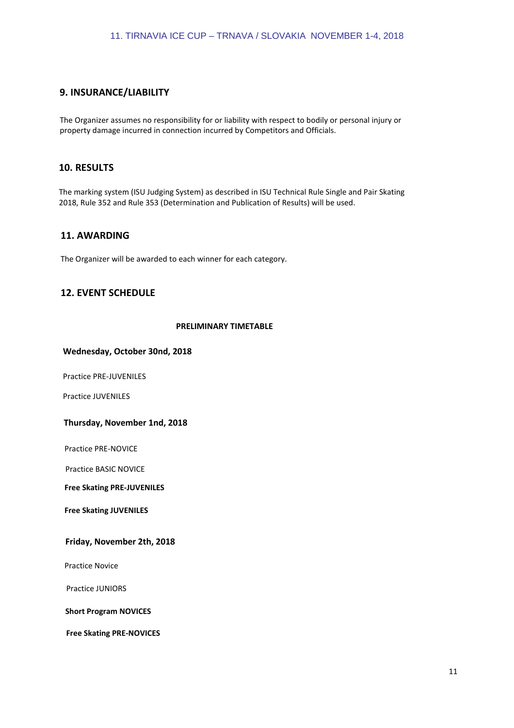# **9. INSURANCE/LIABILITY**

The Organizer assumes no responsibility for or liability with respect to bodily or personal injury or property damage incurred in connection incurred by Competitors and Officials.

# **10. RESULTS**

The marking system (ISU Judging System) as described in ISU Technical Rule Single and Pair Skating 2018, Rule 352 and Rule 353 (Determination and Publication of Results) will be used.

# **11. AWARDING**

The Organizer will be awarded to each winner for each category.

# **12. EVENT SCHEDULE**

#### **PRELIMINARY TIMETABLE**

#### **Wednesday, October 30nd, 2018**

Practice PRE-JUVENILES

Practice JUVENILES

#### **Thursday, November 1nd, 2018**

Practice PRE-NOVICE

Practice BASIC NOVICE

**Free Skating PRE-JUVENILES**

**Free Skating JUVENILES**

#### **Friday, November 2th, 2018**

Practice Novice

Practice JUNIORS

**Short Program NOVICES**

**Free Skating PRE-NOVICES**